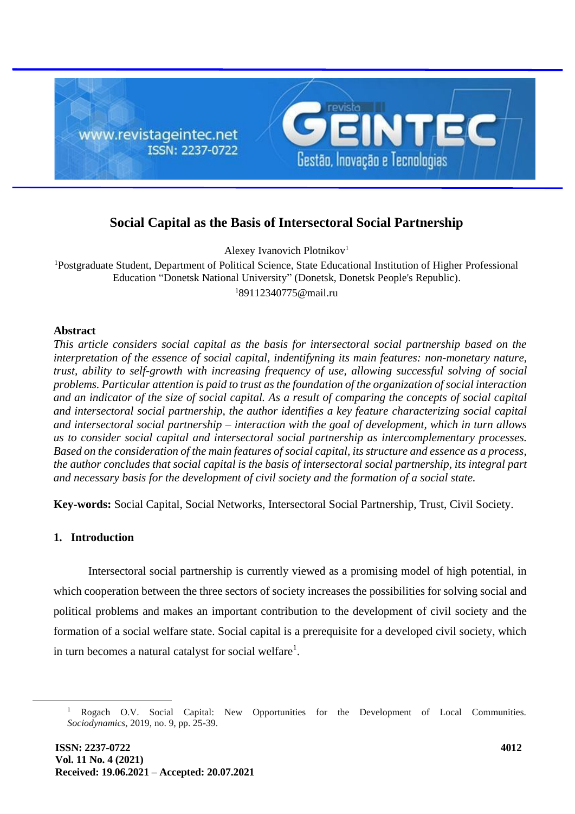

# **Social Capital as the Basis of Intersectoral Social Partnership**

Alexey Ivanovich Plotnikov<sup>1</sup>

<sup>1</sup>Postgraduate Student, Department of Political Science, State Educational Institution of Higher Professional Education "Donetsk National University" (Donetsk, Donetsk People's Republic).  $189112340775$ @mail.ru

#### **Abstract**

*This article considers social capital as the basis for intersectoral social partnership based on the interpretation of the essence of social capital, indentifyning its main features: non-monetary nature, trust, ability to self-growth with increasing frequency of use, allowing successful solving of social problems. Particular attention is paid to trust as the foundation of the organization of social interaction and an indicator of the size of social capital. As a result of comparing the concepts of social capital and intersectoral social partnership, the author identifies a key feature characterizing social capital and intersectoral social partnership – interaction with the goal of development, which in turn allows us to consider social capital and intersectoral social partnership as intercomplementary processes. Based on the consideration of the main features of social capital, its structure and essence as a process, the author concludes that social capital is the basis of intersectoral social partnership, its integral part and necessary basis for the development of civil society and the formation of a social state.*

**Key-words:** Social Capital, Social Networks, Intersectoral Social Partnership, Trust, Civil Society.

### **1. Introduction**

Intersectoral social partnership is currently viewed as a promising model of high potential, in which cooperation between the three sectors of society increases the possibilities for solving social and political problems and makes an important contribution to the development of civil society and the formation of a social welfare state. Social capital is a prerequisite for a developed civil society, which in turn becomes a natural catalyst for social welfare<sup>1</sup>.

<sup>1</sup> Rogach O.V. Social Capital: New Opportunities for the Development of Local Communities. *Sociodynamics*, 2019, no. 9, pp. 25-39.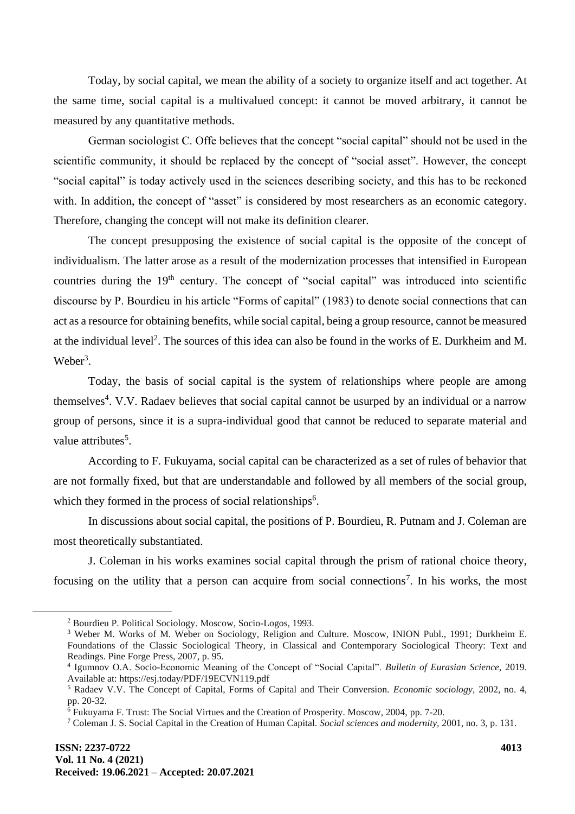Today, by social capital, we mean the ability of a society to organize itself and act together. At the same time, social capital is a multivalued concept: it cannot be moved arbitrary, it cannot be measured by any quantitative methods.

German sociologist C. Offe believes that the concept "social capital" should not be used in the scientific community, it should be replaced by the concept of "social asset". However, the concept "social capital" is today actively used in the sciences describing society, and this has to be reckoned with. In addition, the concept of "asset" is considered by most researchers as an economic category. Therefore, changing the concept will not make its definition clearer.

The concept presupposing the existence of social capital is the opposite of the concept of individualism. The latter arose as a result of the modernization processes that intensified in European countries during the  $19<sup>th</sup>$  century. The concept of "social capital" was introduced into scientific discourse by P. Bourdieu in his article "Forms of capital" (1983) to denote social connections that can act as a resource for obtaining benefits, while social capital, being a group resource, cannot be measured at the individual level<sup>2</sup>. The sources of this idea can also be found in the works of E. Durkheim and M. Weber<sup>3</sup>.

Today, the basis of social capital is the system of relationships where people are among themselves<sup>4</sup>. V.V. Radaev believes that social capital cannot be usurped by an individual or a narrow group of persons, since it is a supra-individual good that cannot be reduced to separate material and value attributes<sup>5</sup>.

According to F. Fukuyama, social capital can be characterized as a set of rules of behavior that are not formally fixed, but that are understandable and followed by all members of the social group, which they formed in the process of social relationships<sup>6</sup>.

In discussions about social capital, the positions of P. Bourdieu, R. Putnam and J. Coleman are most theoretically substantiated.

J. Coleman in his works examines social capital through the prism of rational choice theory, focusing on the utility that a person can acquire from social connections<sup>7</sup>. In his works, the most

<sup>2</sup> Bourdieu P. Political Sociology. Мoscow, Socio-Logos, 1993.

<sup>&</sup>lt;sup>3</sup> Weber M. Works of M. Weber on Sociology, Religion and Culture. Moscow, INION Publ., 1991; Durkheim E. Foundations of the Classic Sociological Theory, in Classical and Contemporary Sociological Theory: Text and Readings. Pine Forge Press, 2007, p. 95.

<sup>4</sup> Igumnov O.A. Socio-Economic Meaning of the Concept of "Social Capital". *Bulletin of Eurasian Science*, 2019. Available at: https://esj.today/PDF/19ECVN119.pdf

<sup>5</sup> Radaev V.V. The Concept of Capital, Forms of Capital and Their Conversion. *Economic sociology,* 2002, no. 4, pp. 20-32.

<sup>6</sup> Fukuyama F. Trust: The Social Virtues and the Creation of Prosperity. Moscow, 2004, pp. 7-20.

<sup>7</sup> Coleman J. S. Social Capital in the Creation of Human Capital. *Social sciences and modernity,* 2001, no. 3, p. 131.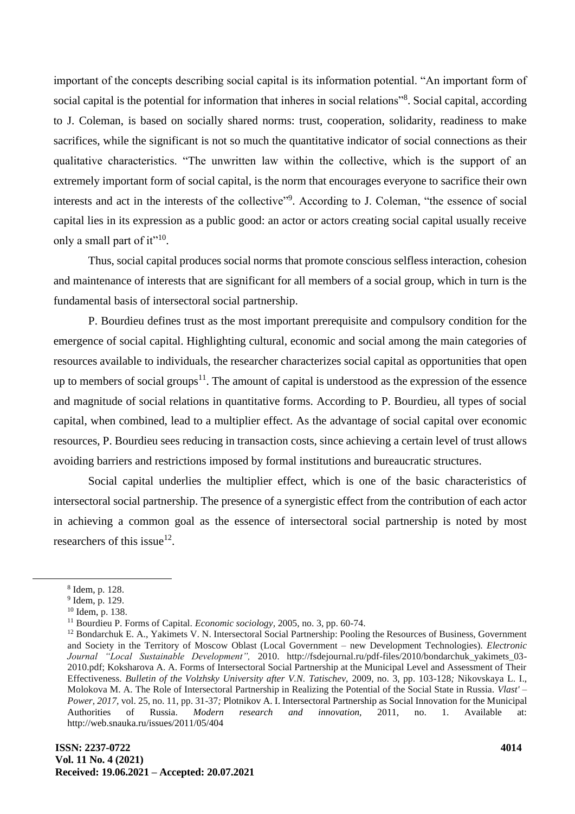important of the concepts describing social capital is its information potential. "An important form of social capital is the potential for information that inheres in social relations"<sup>8</sup>. Social capital, according to J. Coleman, is based on socially shared norms: trust, cooperation, solidarity, readiness to make sacrifices, while the significant is not so much the quantitative indicator of social connections as their qualitative characteristics. "The unwritten law within the collective, which is the support of an extremely important form of social capital, is the norm that encourages everyone to sacrifice their own interests and act in the interests of the collective"<sup>9</sup>. According to J. Coleman, "the essence of social capital lies in its expression as a public good: an actor or actors creating social capital usually receive only a small part of it"<sup>10</sup>.

Thus, social capital produces social norms that promote conscious selfless interaction, cohesion and maintenance of interests that are significant for all members of a social group, which in turn is the fundamental basis of intersectoral social partnership.

P. Bourdieu defines trust as the most important prerequisite and compulsory condition for the emergence of social capital. Highlighting cultural, economic and social among the main categories of resources available to individuals, the researcher characterizes social capital as opportunities that open up to members of social groups<sup>11</sup>. The amount of capital is understood as the expression of the essence and magnitude of social relations in quantitative forms. According to P. Bourdieu, all types of social capital, when combined, lead to a multiplier effect. As the advantage of social capital over economic resources, P. Bourdieu sees reducing in transaction costs, since achieving a certain level of trust allows avoiding barriers and restrictions imposed by formal institutions and bureaucratic structures.

Social capital underlies the multiplier effect, which is one of the basic characteristics of intersectoral social partnership. The presence of a synergistic effect from the contribution of each actor in achieving a common goal as the essence of intersectoral social partnership is noted by most researchers of this issue<sup>12</sup>.

<sup>8</sup> Idem, p. 128.

<sup>&</sup>lt;sup>9</sup> Idem, p. 129.

 $10$  Idem, p. 138.

<sup>11</sup> Bourdieu P. Forms of Capital. *Economic sociology,* 2005, no. 3, pp. 60-74.

<sup>&</sup>lt;sup>12</sup> Bondarchuk E. A., Yakimets V. N. Intersectoral Social Partnership: Pooling the Resources of Business, Government and Society in the Territory of Moscow Oblast (Local Government – new Development Technologies). *Electronic Journal "Local Sustainable Development",* 2010. http://fsdejournal.ru/pdf-files/2010/bondarchuk\_yakimets\_03- 2010.pdf; Koksharova A. A. Forms of Intersectoral Social Partnership at the Municipal Level and Assessment of Their Effectiveness. *Bulletin of the Volzhsky University after V.N. Tatischev,* 2009, no. 3, pp. 103-128*;* Nikovskaya L. I., Molokova M. A. The Role of Intersectoral Partnership in Realizing the Potential of the Social State in Russia. *Vlast' – Power, 2017,* vol. 25, no. 11, pp. 31-37*;* Plotnikov A. I. Intersectoral Partnership as Social Innovation for the Municipal Authorities of Russia. *Modern research and innovation,* 2011, no. 1. Available at: http://web.snauka.ru/issues/2011/05/404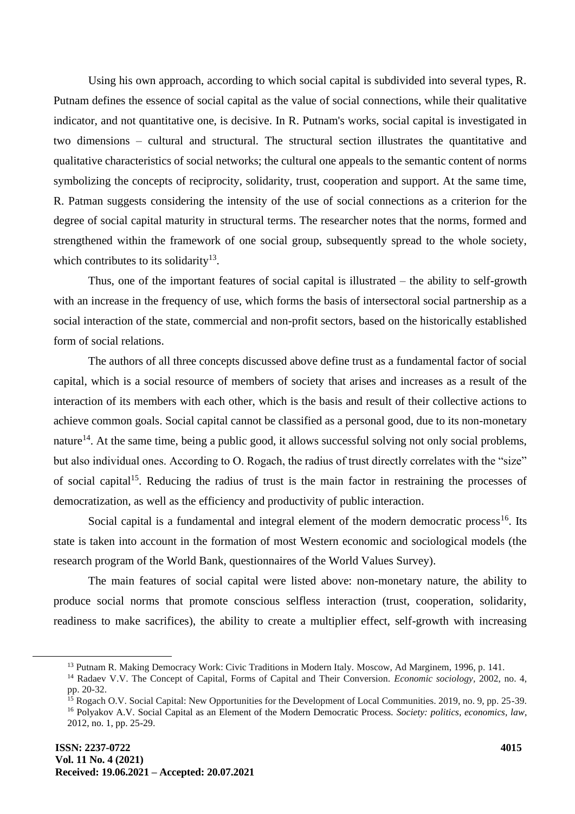Using his own approach, according to which social capital is subdivided into several types, R. Putnam defines the essence of social capital as the value of social connections, while their qualitative indicator, and not quantitative one, is decisive. In R. Putnam's works, social capital is investigated in two dimensions – cultural and structural. The structural section illustrates the quantitative and qualitative characteristics of social networks; the cultural one appeals to the semantic content of norms symbolizing the concepts of reciprocity, solidarity, trust, cooperation and support. At the same time, R. Patman suggests considering the intensity of the use of social connections as a criterion for the degree of social capital maturity in structural terms. The researcher notes that the norms, formed and strengthened within the framework of one social group, subsequently spread to the whole society, which contributes to its solidarity<sup>13</sup>.

Thus, one of the important features of social capital is illustrated – the ability to self-growth with an increase in the frequency of use, which forms the basis of intersectoral social partnership as a social interaction of the state, commercial and non-profit sectors, based on the historically established form of social relations.

The authors of all three concepts discussed above define trust as a fundamental factor of social capital, which is a social resource of members of society that arises and increases as a result of the interaction of its members with each other, which is the basis and result of their collective actions to achieve common goals. Social capital cannot be classified as a personal good, due to its non-monetary nature<sup>14</sup>. At the same time, being a public good, it allows successful solving not only social problems, but also individual ones. According to O. Rogach, the radius of trust directly correlates with the "size" of social capital<sup>15</sup>. Reducing the radius of trust is the main factor in restraining the processes of democratization, as well as the efficiency and productivity of public interaction.

Social capital is a fundamental and integral element of the modern democratic process<sup>16</sup>. Its state is taken into account in the formation of most Western economic and sociological models (the research program of the World Bank, questionnaires of the World Values Survey).

The main features of social capital were listed above: non-monetary nature, the ability to produce social norms that promote conscious selfless interaction (trust, cooperation, solidarity, readiness to make sacrifices), the ability to create a multiplier effect, self-growth with increasing

<sup>13</sup> Putnam R. Making Democracy Work: Civic Traditions in Modern Italy. Мoscow, Ad Marginem, 1996, p. 141.

<sup>14</sup> Radaev V.V. The Concept of Capital, Forms of Capital and Their Conversion. *Economic sociology,* 2002, no. 4, pp. 20-32.

<sup>&</sup>lt;sup>15</sup> Rogach O.V. Social Capital: New Opportunities for the Development of Local Communities. 2019, no. 9, pp. 25-39. <sup>16</sup> Polyakov A.V. Social Capital as an Element of the Modern Democratic Process. *Society: politics, economics, law*, 2012, no. 1, pp. 25-29.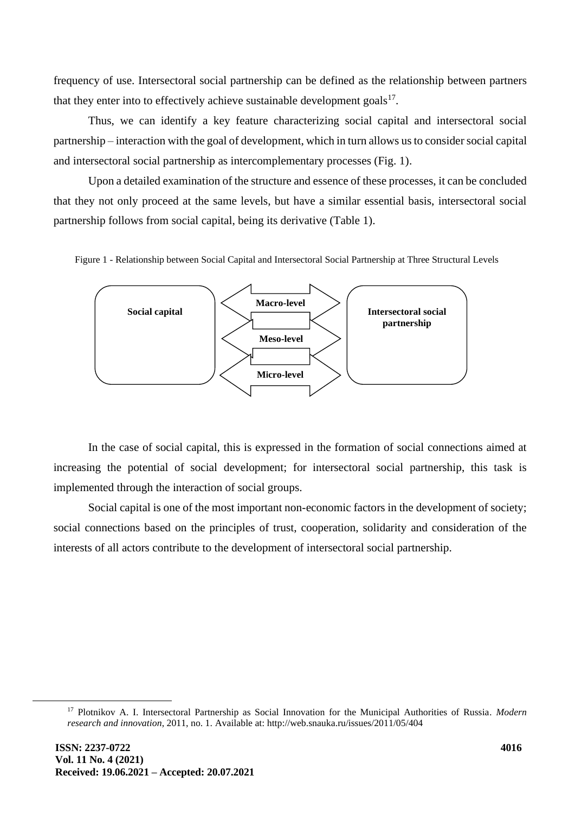frequency of use. Intersectoral social partnership can be defined as the relationship between partners that they enter into to effectively achieve sustainable development goals $17$ .

Thus, we can identify a key feature characterizing social capital and intersectoral social partnership – interaction with the goal of development, which in turn allows us to consider social capital and intersectoral social partnership as intercomplementary processes (Fig. 1).

Upon a detailed examination of the structure and essence of these processes, it can be concluded that they not only proceed at the same levels, but have a similar essential basis, intersectoral social partnership follows from social capital, being its derivative (Table 1).

Figure 1 - Relationship between Social Capital and Intersectoral Social Partnership at Three Structural Levels



In the case of social capital, this is expressed in the formation of social connections aimed at increasing the potential of social development; for intersectoral social partnership, this task is implemented through the interaction of social groups.

Social capital is one of the most important non-economic factors in the development of society; social connections based on the principles of trust, cooperation, solidarity and consideration of the interests of all actors contribute to the development of intersectoral social partnership.

<sup>17</sup> Plotnikov A. I. Intersectoral Partnership as Social Innovation for the Municipal Authorities of Russia*. Modern research and innovation*, 2011, no. 1. Available at: http://web.snauka.ru/issues/2011/05/404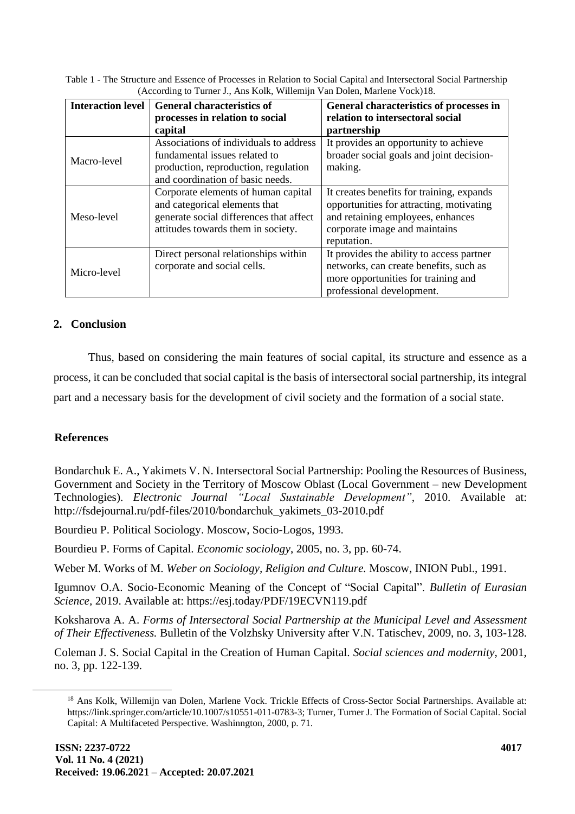Table 1 - The Structure and Essence of Processes in Relation to Social Capital and Intersectoral Social Partnership (According to Turner J., Ans Kolk, Willemijn Van Dolen, Marlene Vock)18.

| <b>Interaction level</b> | <b>General characteristics of</b><br>processes in relation to social<br>capital                                                                       | General characteristics of processes in<br>relation to intersectoral social<br>partnership                                                                                 |
|--------------------------|-------------------------------------------------------------------------------------------------------------------------------------------------------|----------------------------------------------------------------------------------------------------------------------------------------------------------------------------|
| Macro-level              | Associations of individuals to address<br>fundamental issues related to<br>production, reproduction, regulation<br>and coordination of basic needs.   | It provides an opportunity to achieve<br>broader social goals and joint decision-<br>making.                                                                               |
| Meso-level               | Corporate elements of human capital<br>and categorical elements that<br>generate social differences that affect<br>attitudes towards them in society. | It creates benefits for training, expands<br>opportunities for attracting, motivating<br>and retaining employees, enhances<br>corporate image and maintains<br>reputation. |
| Micro-level              | Direct personal relationships within<br>corporate and social cells.                                                                                   | It provides the ability to access partner<br>networks, can create benefits, such as<br>more opportunities for training and<br>professional development.                    |

## **2. Conclusion**

Thus, based on considering the main features of social capital, its structure and essence as a process, it can be concluded that social capital is the basis of intersectoral social partnership, its integral part and a necessary basis for the development of civil society and the formation of a social state.

### **References**

Bondarchuk E. A., Yakimets V. N. Intersectoral Social Partnership: Pooling the Resources of Business, Government and Society in the Territory of Moscow Oblast (Local Government – new Development Technologies). *Electronic Journal "Local Sustainable Development"*, 2010. Available at: http://fsdejournal.ru/pdf-files/2010/bondarchuk\_yakimets\_03-2010.pdf

Bourdieu P. Political Sociology. Мoscow, Socio-Logos, 1993.

Bourdieu P. Forms of Capital. *Economic sociology*, 2005, no. 3, pp. 60-74.

Weber M. Works of M. *Weber on Sociology, Religion and Culture.* Мoscow, INION Publ., 1991.

Igumnov O.A. Socio-Economic Meaning of the Concept of "Social Capital". *Bulletin of Eurasian Science,* 2019. Available at: https://esj.today/PDF/19ECVN119.pdf

Koksharova A. A. *Forms of Intersectoral Social Partnership at the Municipal Level and Assessment of Their Effectiveness.* Bulletin of the Volzhsky University after V.N. Tatischev, 2009, no. 3, 103-128.

Coleman J. S. Social Capital in the Creation of Human Capital. *Social sciences and modernity*, 2001, no. 3, pp. 122-139.

<sup>&</sup>lt;sup>18</sup> Ans Kolk, Willemijn van Dolen, Marlene Vock. Trickle Effects of Cross-Sector Social Partnerships. Available at: https://link.springer.com/article/10.1007/s10551-011-0783-3; Turner, Turner J. The Formation of Social Capital. Social Capital: A Multifaceted Perspective. Washinngton, 2000, p. 71.